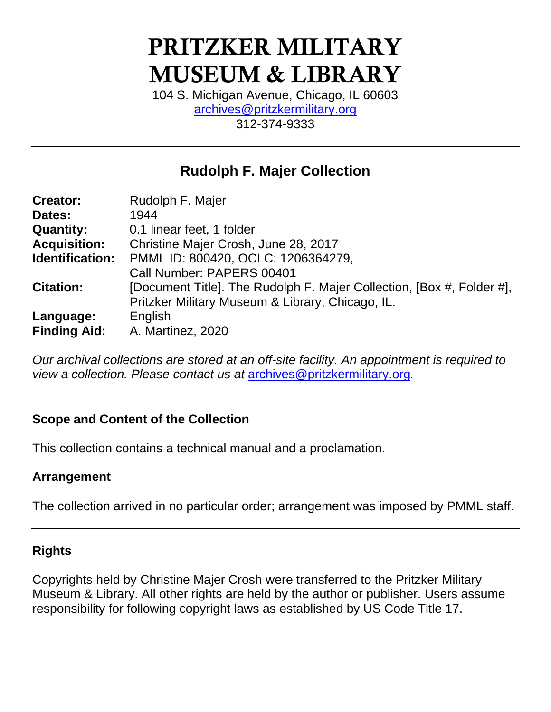# PRITZKER MILITARY MUSEUM & LIBRARY

104 S. Michigan Avenue, Chicago, IL 60603 [archives@pritzkermilitary.org](mailto:archives@pritzkermilitary.org) 312-374-9333

# **Rudolph F. Majer Collection**

| <b>Creator:</b>     | Rudolph F. Majer                                                      |  |  |  |
|---------------------|-----------------------------------------------------------------------|--|--|--|
| Dates:              | 1944                                                                  |  |  |  |
| <b>Quantity:</b>    | 0.1 linear feet, 1 folder                                             |  |  |  |
| <b>Acquisition:</b> | Christine Majer Crosh, June 28, 2017                                  |  |  |  |
| Identification:     | PMML ID: 800420, OCLC: 1206364279,                                    |  |  |  |
|                     | Call Number: PAPERS 00401                                             |  |  |  |
| <b>Citation:</b>    | [Document Title]. The Rudolph F. Majer Collection, [Box #, Folder #], |  |  |  |
|                     | Pritzker Military Museum & Library, Chicago, IL.                      |  |  |  |
| Language:           | English                                                               |  |  |  |
| <b>Finding Aid:</b> | A. Martinez, 2020                                                     |  |  |  |

*Our archival collections are stored at an off-site facility. An appointment is required to view a collection. Please contact us at* [archives@pritzkermilitary.org](mailto:archives@pritzkermilitary.org)*.*

## **Scope and Content of the Collection**

This collection contains a technical manual and a proclamation.

#### **Arrangement**

The collection arrived in no particular order; arrangement was imposed by PMML staff.

## **Rights**

Copyrights held by Christine Majer Crosh were transferred to the Pritzker Military Museum & Library. All other rights are held by the author or publisher. Users assume responsibility for following copyright laws as established by US Code Title 17.